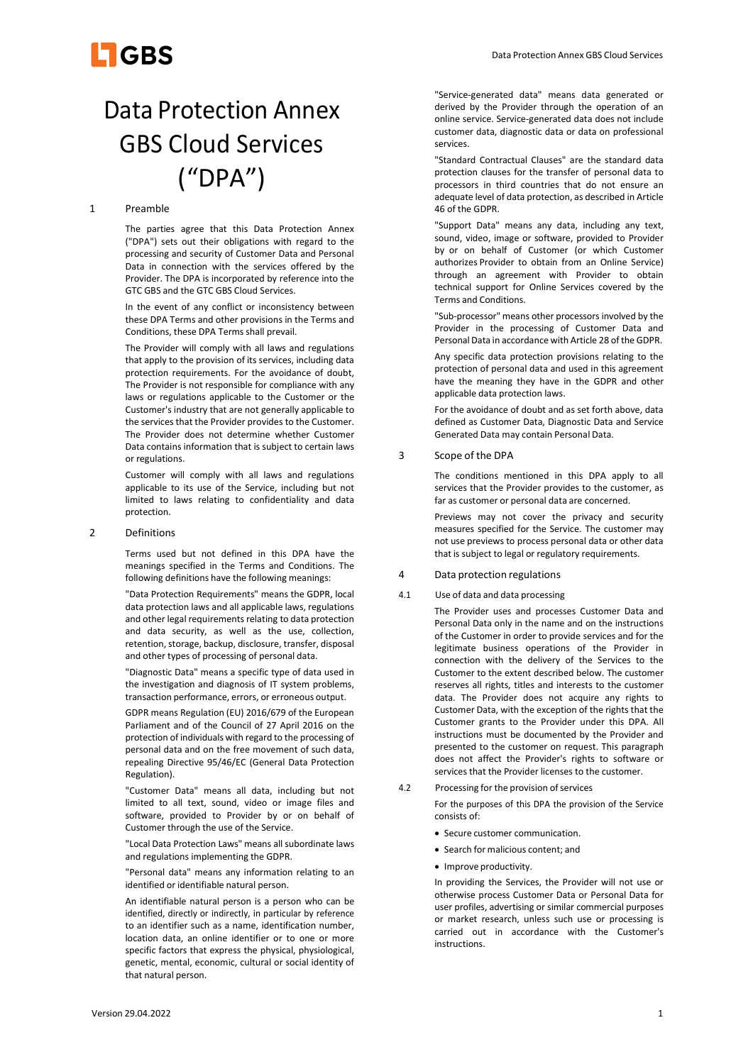

# Data Protection Annex GBS Cloud Services ("DPA")

## 1 Preamble

The parties agree that this Data Protection Annex ("DPA") sets out their obligations with regard to the processing and security of Customer Data and Personal Data in connection with the services offered by the Provider. The DPA is incorporated by reference into the GTC GBS and the GTC GBS Cloud Services.

In the event of any conflict or inconsistency between these DPA Terms and other provisions in the Terms and Conditions, these DPA Terms shall prevail.

The Provider will comply with all laws and regulations that apply to the provision of its services, including data protection requirements. For the avoidance of doubt, The Provider is not responsible for compliance with any laws or regulations applicable to the Customer or the Customer's industry that are not generally applicable to the services that the Provider provides to the Customer. The Provider does not determine whether Customer Data contains information that is subject to certain laws or regulations.

Customer will comply with all laws and regulations applicable to its use of the Service, including but not limited to laws relating to confidentiality and data protection.

## 2 Definitions

Terms used but not defined in this DPA have the meanings specified in the Terms and Conditions. The following definitions have the following meanings:

"Data Protection Requirements" means the GDPR, local data protection laws and all applicable laws, regulations and other legal requirements relating to data protection and data security, as well as the use, collection, retention, storage, backup, disclosure, transfer, disposal and other types of processing of personal data.

"Diagnostic Data" means a specific type of data used in the investigation and diagnosis of IT system problems, transaction performance, errors, or erroneous output.

GDPR means Regulation (EU) 2016/679 of the European Parliament and of the Council of 27 April 2016 on the protection of individuals with regard to the processing of personal data and on the free movement of such data, repealing Directive 95/46/EC (General Data Protection Regulation).

"Customer Data" means all data, including but not limited to all text, sound, video or image files and software, provided to Provider by or on behalf of Customer through the use of the Service.

"Local Data Protection Laws" means all subordinate laws and regulations implementing the GDPR.

"Personal data" means any information relating to an identified or identifiable natural person.

An identifiable natural person is a person who can be identified, directly or indirectly, in particular by reference to an identifier such as a name, identification number, location data, an online identifier or to one or more specific factors that express the physical, physiological, genetic, mental, economic, cultural or social identity of that natural person.

"Service-generated data" means data generated or derived by the Provider through the operation of an online service. Service-generated data does not include customer data, diagnostic data or data on professional services.

"Standard Contractual Clauses" are the standard data protection clauses for the transfer of personal data to processors in third countries that do not ensure an adequate level of data protection, as described in Article 46 of the GDPR.

"Support Data" means any data, including any text, sound, video, image or software, provided to Provider by or on behalf of Customer (or which Customer authorizes Provider to obtain from an Online Service) through an agreement with Provider to obtain technical support for Online Services covered by the Terms and Conditions.

"Sub-processor" means other processors involved by the Provider in the processing of Customer Data and Personal Data in accordance with Article 28 of the GDPR.

Any specific data protection provisions relating to the protection of personal data and used in this agreement have the meaning they have in the GDPR and other applicable data protection laws.

For the avoidance of doubt and as set forth above, data defined as Customer Data, Diagnostic Data and Service Generated Data may contain Personal Data.

## 3 Scope of the DPA

The conditions mentioned in this DPA apply to all services that the Provider provides to the customer, as far as customer or personal data are concerned.

Previews may not cover the privacy and security measures specified for the Service. The customer may not use previews to process personal data or other data that is subject to legal or regulatory requirements.

## 4 Data protection regulations

#### 4.1 Use of data and data processing

The Provider uses and processes Customer Data and Personal Data only in the name and on the instructions of the Customer in order to provide services and for the legitimate business operations of the Provider in connection with the delivery of the Services to the Customer to the extent described below. The customer reserves all rights, titles and interests to the customer data. The Provider does not acquire any rights to Customer Data, with the exception of the rights that the Customer grants to the Provider under this DPA. All instructions must be documented by the Provider and presented to the customer on request. This paragraph does not affect the Provider's rights to software or services that the Provider licenses to the customer.

- 4.2 Processing for the provision of services For the purposes of this DPA the provision of the Service consists of:
	- Secure customer communication.
	- Search for malicious content; and
	- Improve productivity.

In providing the Services, the Provider will not use or otherwise process Customer Data or Personal Data for user profiles, advertising or similar commercial purposes or market research, unless such use or processing is carried out in accordance with the Customer's instructions.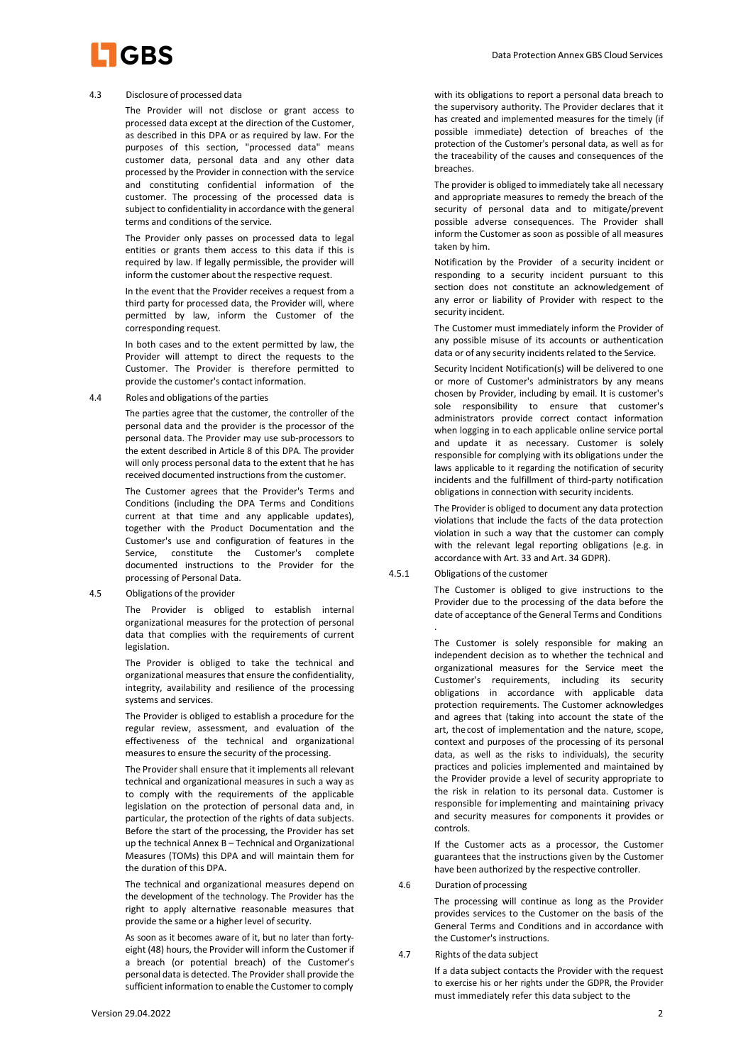

#### 4.3 Disclosure of processed data

The Provider will not disclose or grant access to processed data except at the direction of the Customer, as described in this DPA or as required by law. For the purposes of this section, "processed data" means customer data, personal data and any other data processed by the Provider in connection with the service and constituting confidential information of the customer. The processing of the processed data is subject to confidentiality in accordance with the general terms and conditions of the service.

The Provider only passes on processed data to legal entities or grants them access to this data if this is required by law. If legally permissible, the provider will inform the customer about the respective request.

In the event that the Provider receives a request from a third party for processed data, the Provider will, where permitted by law, inform the Customer of the corresponding request.

In both cases and to the extent permitted by law, the Provider will attempt to direct the requests to the Customer. The Provider is therefore permitted to provide the customer's contact information.

4.4 Roles and obligations of the parties

The parties agree that the customer, the controller of the personal data and the provider is the processor of the personal data. The Provider may use sub-processors to the extent described in Article 8 of this DPA. The provider will only process personal data to the extent that he has received documented instructions from the customer.

The Customer agrees that the Provider's Terms and Conditions (including the DPA Terms and Conditions current at that time and any applicable updates), together with the Product Documentation and the Customer's use and configuration of features in the Service, constitute the Customer's complete documented instructions to the Provider for the processing of Personal Data.

4.5 Obligations of the provider

The Provider is obliged to establish internal organizational measures for the protection of personal data that complies with the requirements of current legislation.

The Provider is obliged to take the technical and organizational measures that ensure the confidentiality, integrity, availability and resilience of the processing systems and services.

The Provider is obliged to establish a procedure for the regular review, assessment, and evaluation of the effectiveness of the technical and organizational measures to ensure the security of the processing.

The Provider shall ensure that it implements all relevant technical and organizational measures in such a way as to comply with the requirements of the applicable legislation on the protection of personal data and, in particular, the protection of the rights of data subjects. Before the start of the processing, the Provider has set up the technical Annex B – Technical and Organizational Measures (TOMs) this DPA and will maintain them for the duration of this DPA.

The technical and organizational measures depend on the development of the technology. The Provider has the right to apply alternative reasonable measures that provide the same or a higher level of security.

As soon as it becomes aware of it, but no later than fortyeight (48) hours, the Provider will inform the Customer if a breach (or potential breach) of the Customer's personal data is detected. The Provider shall provide the sufficient information to enable the Customer to comply

with its obligations to report a personal data breach to the supervisory authority. The Provider declares that it has created and implemented measures for the timely (if possible immediate) detection of breaches of the protection of the Customer's personal data, as well as for the traceability of the causes and consequences of the breaches.

The provider is obliged to immediately take all necessary and appropriate measures to remedy the breach of the security of personal data and to mitigate/prevent possible adverse consequences. The Provider shall inform the Customer as soon as possible of all measures taken by him.

Notification by the Provider of a security incident or responding to a security incident pursuant to this section does not constitute an acknowledgement of any error or liability of Provider with respect to the security incident.

The Customer must immediately inform the Provider of any possible misuse of its accounts or authentication data or of any security incidents related to the Service.

Security Incident Notification(s) will be delivered to one or more of Customer's administrators by any means chosen by Provider, including by email. It is customer's sole responsibility to ensure that customer's administrators provide correct contact information when logging in to each applicable online service portal and update it as necessary. Customer is solely responsible for complying with its obligations under the laws applicable to it regarding the notification of security incidents and the fulfillment of third-party notification obligations in connection with security incidents.

The Provider is obliged to document any data protection violations that include the facts of the data protection violation in such a way that the customer can comply with the relevant legal reporting obligations (e.g. in accordance with Art. 33 and Art. 34 GDPR).

## 4.5.1 Obligations of the customer

The Customer is obliged to give instructions to the Provider due to the processing of the data before the date of acceptance of the General Terms and Conditions .

The Customer is solely responsible for making an independent decision as to whether the technical and organizational measures for the Service meet the Customer's requirements, including its security obligations in accordance with applicable data protection requirements. The Customer acknowledges and agrees that (taking into account the state of the art, the cost of implementation and the nature, scope, context and purposes of the processing of its personal data, as well as the risks to individuals), the security practices and policies implemented and maintained by the Provider provide a level of security appropriate to the risk in relation to its personal data. Customer is responsible for implementing and maintaining privacy and security measures for components it provides or controls.

If the Customer acts as a processor, the Customer guarantees that the instructions given by the Customer have been authorized by the respective controller.

#### 4.6 Duration of processing

The processing will continue as long as the Provider provides services to the Customer on the basis of the General Terms and Conditions and in accordance with the Customer's instructions.

4.7 Rights of the data subject

If a data subject contacts the Provider with the request to exercise his or her rights under the GDPR, the Provider must immediately refer this data subject to the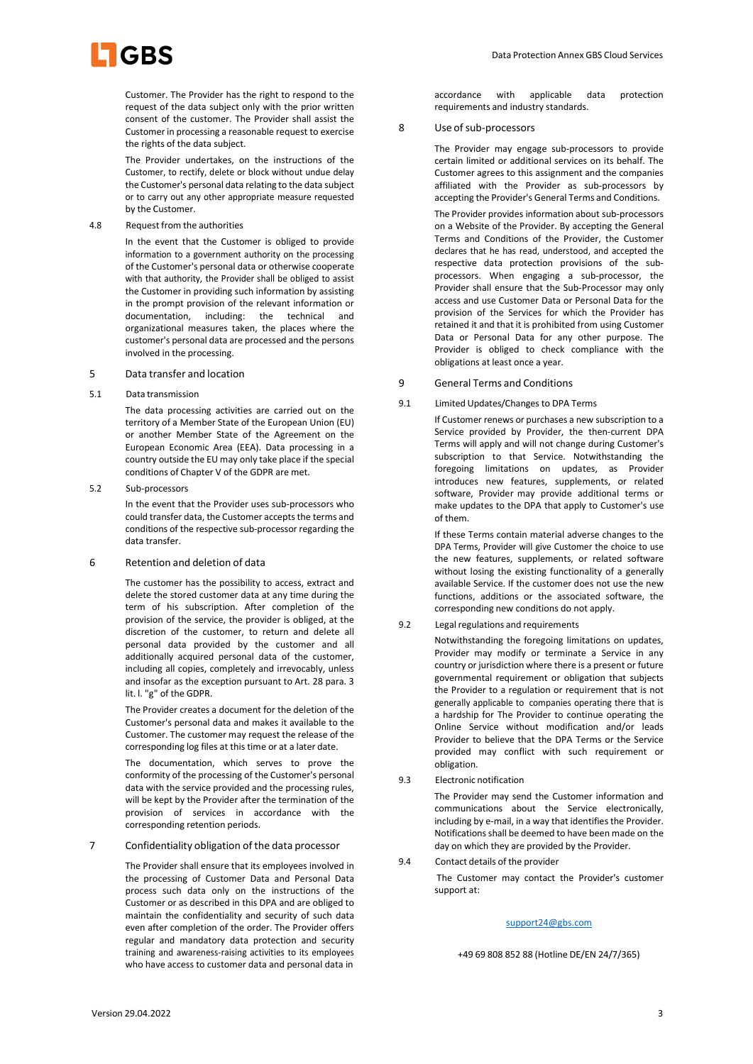

Customer. The Provider has the right to respond to the request of the data subject only with the prior written consent of the customer. The Provider shall assist the Customer in processing a reasonable request to exercise the rights of the data subject.

The Provider undertakes, on the instructions of the Customer, to rectify, delete or block without undue delay the Customer's personal data relating to the data subject or to carry out any other appropriate measure requested by the Customer.

4.8 Request from the authorities

In the event that the Customer is obliged to provide information to a government authority on the processing of the Customer's personal data or otherwise cooperate with that authority, the Provider shall be obliged to assist the Customer in providing such information by assisting in the prompt provision of the relevant information or documentation, including: the technical and organizational measures taken, the places where the customer's personal data are processed and the persons involved in the processing.

#### 5 Data transfer and location

5.1 Data transmission

The data processing activities are carried out on the territory of a Member State of the European Union (EU) or another Member State of the Agreement on the European Economic Area (EEA). Data processing in a country outside the EU may only take place if the special conditions of Chapter V of the GDPR are met.

5.2 Sub-processors

In the event that the Provider uses sub-processors who could transfer data, the Customer accepts the terms and conditions of the respective sub-processor regarding the data transfer.

## 6 Retention and deletion of data

The customer has the possibility to access, extract and delete the stored customer data at any time during the term of his subscription. After completion of the provision of the service, the provider is obliged, at the discretion of the customer, to return and delete all personal data provided by the customer and all additionally acquired personal data of the customer, including all copies, completely and irrevocably, unless and insofar as the exception pursuant to Art. 28 para. 3 lit. l. "g" of the GDPR.

The Provider creates a document for the deletion of the Customer's personal data and makes it available to the Customer. The customer may request the release of the corresponding log files at this time or at a later date.

The documentation, which serves to prove the conformity of the processing of the Customer's personal data with the service provided and the processing rules, will be kept by the Provider after the termination of the provision of services in accordance with the corresponding retention periods.

7 Confidentiality obligation of the data processor

The Provider shall ensure that its employees involved in the processing of Customer Data and Personal Data process such data only on the instructions of the Customer or as described in this DPA and are obliged to maintain the confidentiality and security of such data even after completion of the order. The Provider offers regular and mandatory data protection and security training and awareness-raising activities to its employees who have access to customer data and personal data in

accordance with applicable data protection requirements and industry standards.

## 8 Use of sub-processors

The Provider may engage sub-processors to provide certain limited or additional services on its behalf. The Customer agrees to this assignment and the companies affiliated with the Provider as sub-processors by accepting the Provider's General Terms and Conditions.

The Provider provides information about sub-processors on a Website of the Provider. By accepting the General Terms and Conditions of the Provider, the Customer declares that he has read, understood, and accepted the respective data protection provisions of the subprocessors. When engaging a sub-processor, the Provider shall ensure that the Sub-Processor may only access and use Customer Data or Personal Data for the provision of the Services for which the Provider has retained it and that it is prohibited from using Customer Data or Personal Data for any other purpose. The Provider is obliged to check compliance with the obligations at least once a year.

## 9 General Terms and Conditions

9.1 Limited Updates/Changes to DPA Terms

If Customer renews or purchases a new subscription to a Service provided by Provider, the then-current DPA Terms will apply and will not change during Customer's subscription to that Service. Notwithstanding the foregoing limitations on updates, as Provider introduces new features, supplements, or related software, Provider may provide additional terms or make updates to the DPA that apply to Customer's use of them.

If these Terms contain material adverse changes to the DPA Terms, Provider will give Customer the choice to use the new features, supplements, or related software without losing the existing functionality of a generally available Service. If the customer does not use the new functions, additions or the associated software, the corresponding new conditions do not apply.

9.2 Legal regulations and requirements

Notwithstanding the foregoing limitations on updates, Provider may modify or terminate a Service in any country or jurisdiction where there is a present or future governmental requirement or obligation that subjects the Provider to a regulation or requirement that is not generally applicable to companies operating there that is a hardship for The Provider to continue operating the Online Service without modification and/or leads Provider to believe that the DPA Terms or the Service provided may conflict with such requirement or obligation.

9.3 Electronic notification

The Provider may send the Customer information and communications about the Service electronically, including by e-mail, in a way that identifies the Provider. Notifications shall be deemed to have been made on the day on which they are provided by the Provider.

9.4 Contact details of the provider

 The Customer may contact the Provider's customer support at:

## support24@gbs.com

+49 69 808 852 88 (Hotline DE/EN 24/7/365)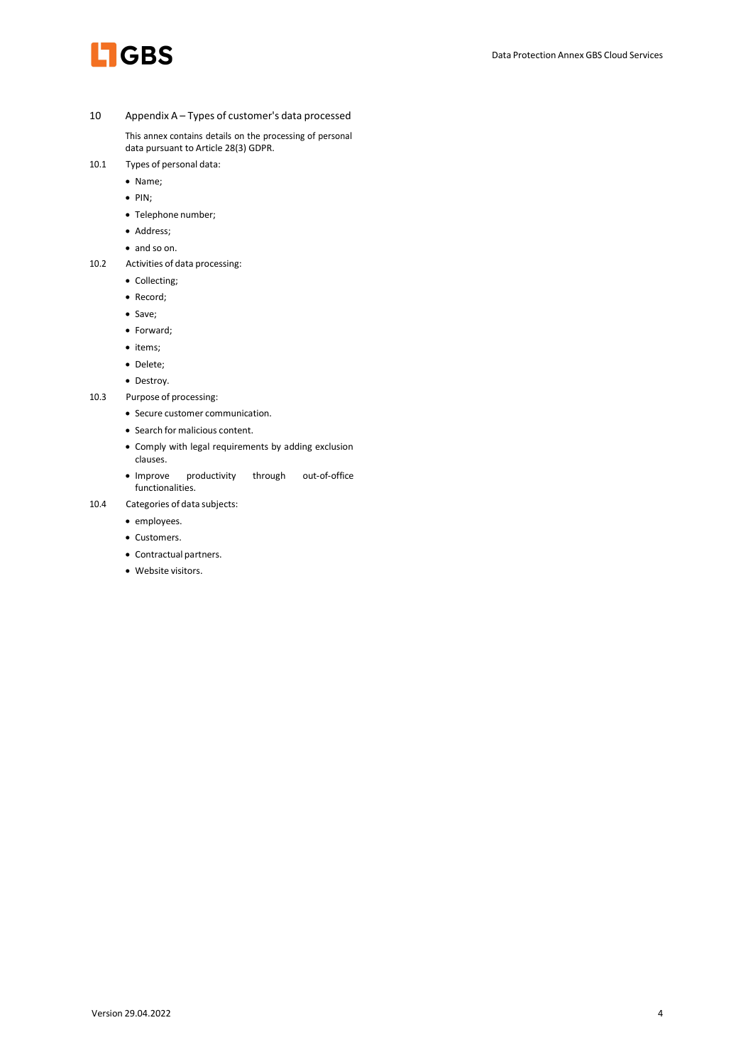

10 Appendix A – Types of customer's data processed

This annex contains details on the processing of personal data pursuant to Article 28(3) GDPR.

- 10.1 Types of personal data:
	- Name;
	- $\bullet$  PIN;
	- Telephone number;
	- Address;
	- and so on.
- 10.2 Activities of data processing:
	- Collecting;
	- Record;
	- Save;
	- Forward;
	- items;
	- Delete;
	- Destroy.
- 10.3 Purpose of processing:
	- Secure customer communication.
	- Search for malicious content.
	- Comply with legal requirements by adding exclusion clauses.
	- Improve productivity through out-of-office functionalities.
- 10.4 Categories of data subjects:
	- employees.
	- Customers.
	- Contractual partners.
	- Website visitors.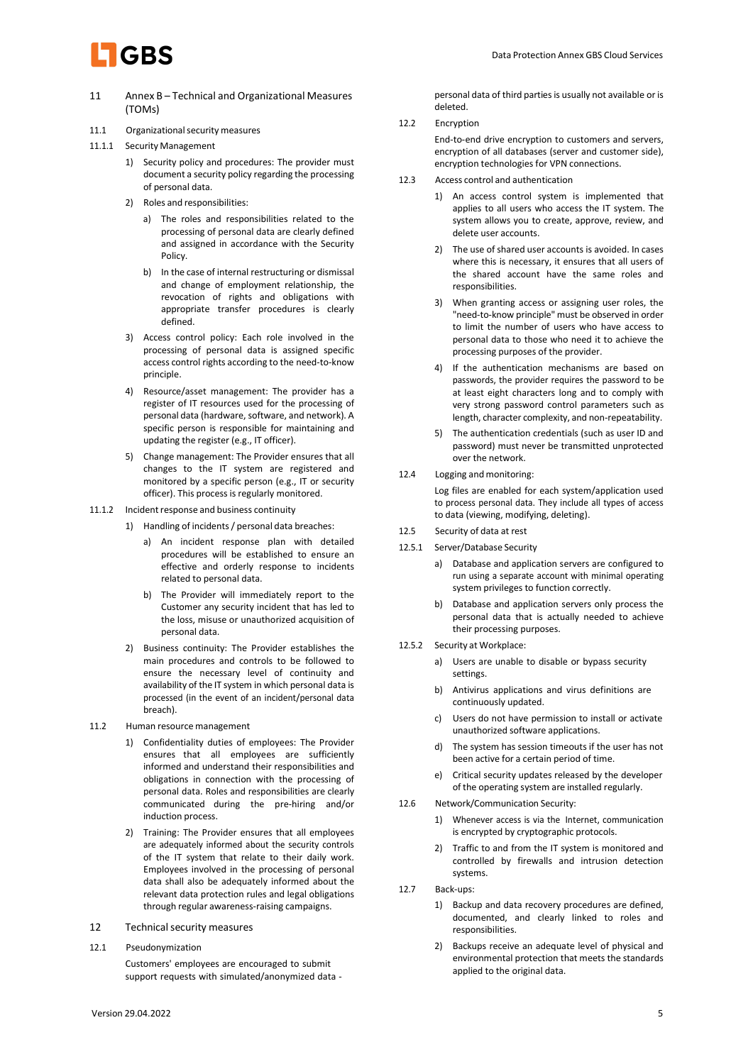

- 11 Annex B Technical and Organizational Measures (TOMs)
- 11.1 Organizational security measures
- 11.1.1 Security Management
	- 1) Security policy and procedures: The provider must document a security policy regarding the processing of personal data.
	- 2) Roles and responsibilities:
		- a) The roles and responsibilities related to the processing of personal data are clearly defined and assigned in accordance with the Security Policy.
		- b) In the case of internal restructuring or dismissal and change of employment relationship, the revocation of rights and obligations with appropriate transfer procedures is clearly defined.
	- 3) Access control policy: Each role involved in the processing of personal data is assigned specific access control rights according to the need-to-know principle.
	- 4) Resource/asset management: The provider has a register of IT resources used for the processing of personal data (hardware, software, and network). A specific person is responsible for maintaining and updating the register (e.g., IT officer).
	- 5) Change management: The Provider ensures that all changes to the IT system are registered and monitored by a specific person (e.g., IT or security officer). This process is regularly monitored.
- 11.1.2 Incident response and business continuity
	- 1) Handling of incidents / personal data breaches:
		- a) An incident response plan with detailed procedures will be established to ensure an effective and orderly response to incidents related to personal data.
		- b) The Provider will immediately report to the Customer any security incident that has led to the loss, misuse or unauthorized acquisition of personal data.
	- 2) Business continuity: The Provider establishes the main procedures and controls to be followed to ensure the necessary level of continuity and availability of the IT system in which personal data is processed (in the event of an incident/personal data breach).
- 11.2 Human resource management
	- 1) Confidentiality duties of employees: The Provider ensures that all employees are sufficiently informed and understand their responsibilities and obligations in connection with the processing of personal data. Roles and responsibilities are clearly communicated during the pre-hiring and/or induction process.
	- 2) Training: The Provider ensures that all employees are adequately informed about the security controls of the IT system that relate to their daily work. Employees involved in the processing of personal data shall also be adequately informed about the relevant data protection rules and legal obligations through regular awareness-raising campaigns.
- 12 Technical security measures
- 12.1 Pseudonymization Customers' employees are encouraged to submit support requests with simulated/anonymized data -

personal data of third parties is usually not available or is deleted.

12.2 Encryption

End-to-end drive encryption to customers and servers, encryption of all databases (server and customer side), encryption technologies for VPN connections.

- 12.3 Access control and authentication
	- 1) An access control system is implemented that applies to all users who access the IT system. The system allows you to create, approve, review, and delete user accounts.
	- 2) The use of shared user accounts is avoided. In cases where this is necessary, it ensures that all users of the shared account have the same roles and responsibilities.
	- 3) When granting access or assigning user roles, the "need-to-know principle" must be observed in order to limit the number of users who have access to personal data to those who need it to achieve the processing purposes of the provider.
	- 4) If the authentication mechanisms are based on passwords, the provider requires the password to be at least eight characters long and to comply with very strong password control parameters such as length, character complexity, and non-repeatability.
	- 5) The authentication credentials (such as user ID and password) must never be transmitted unprotected over the network.
- 12.4 Logging and monitoring:

Log files are enabled for each system/application used to process personal data. They include all types of access to data (viewing, modifying, deleting).

- 12.5 Security of data at rest
- 12.5.1 Server/Database Security
	- a) Database and application servers are configured to run using a separate account with minimal operating system privileges to function correctly.
	- b) Database and application servers only process the personal data that is actually needed to achieve their processing purposes.
- 12.5.2 Security at Workplace:
	- a) Users are unable to disable or bypass security settings.
	- b) Antivirus applications and virus definitions are continuously updated.
	- c) Users do not have permission to install or activate unauthorized software applications.
	- d) The system has session timeouts if the user has not been active for a certain period of time.
	- e) Critical security updates released by the developer of the operating system are installed regularly.
- 12.6 Network/Communication Security:
	- 1) Whenever access is via the Internet, communication is encrypted by cryptographic protocols.
	- 2) Traffic to and from the IT system is monitored and controlled by firewalls and intrusion detection systems.
- 12.7 Back-ups:
	- 1) Backup and data recovery procedures are defined, documented, and clearly linked to roles and responsibilities.
	- 2) Backups receive an adequate level of physical and environmental protection that meets the standards applied to the original data.